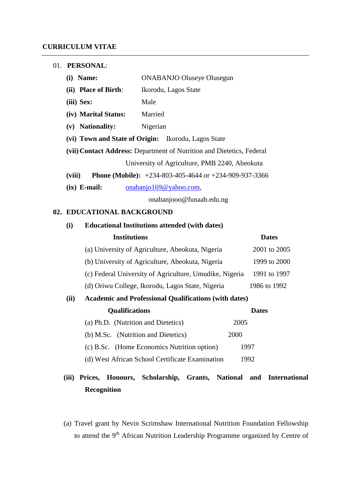| 01. | <b>PERSONAL:</b> |
|-----|------------------|
|-----|------------------|

| <b>ONABANJO Oluseye Olusegun</b><br>(i) Name: |                                                                       |  |  |  |  |  |
|-----------------------------------------------|-----------------------------------------------------------------------|--|--|--|--|--|
| (ii) Place of Birth:<br>Ikorodu, Lagos State  |                                                                       |  |  |  |  |  |
| (iii) Sex:                                    | Male                                                                  |  |  |  |  |  |
| (iv) Marital Status:                          | Married                                                               |  |  |  |  |  |
| (v) Nationality:<br>Nigerian                  |                                                                       |  |  |  |  |  |
|                                               | (vi) Town and State of Origin: Ikorodu, Lagos State                   |  |  |  |  |  |
|                                               | (vii) Contact Address: Department of Nutrition and Dietetics, Federal |  |  |  |  |  |
| University of Agriculture, PMB 2240, Abeokuta |                                                                       |  |  |  |  |  |
| (viii)                                        | <b>Phone (Mobile):</b> $+234-803-405-4644$ or $+234-909-937-3366$     |  |  |  |  |  |
| $(ix)$ E-mail:<br>onabanjo169@yahoo.com,      |                                                                       |  |  |  |  |  |
|                                               | onabanjooo@funaab.edu.ng                                              |  |  |  |  |  |

#### **02. EDUCATIONAL BACKGROUND**

# **(i) Educational Institutions attended (with dates) Institutions Dates** (a) University of Agriculture, Abeokuta, Nigeria 2001 to 2005 (b) University of Agriculture, Abeokuta, Nigeria 1999 to 2000 (c) Federal University of Agriculture, Umudike, Nigeria 1991 to 1997 (d) Oriwu College, Ikorodu, Lagos State, Nigeria 1986 to 1992 **(ii) Academic and Professional Qualifications (with dates) Qualifications Dates** (a) Ph.D. (Nutrition and Dietetics) 2005 (b) M.Sc. (Nutrition and Dietetics) 2000 (c) B.Sc. (Home Economics Nutrition option) 1997 (d) West African School Certificate Examination 1992

## **(iii) Prices, Honours, Scholarship, Grants, National and International Recognition**

(a) Travel grant by Nevin Scrimshaw International Nutrition Foundation Fellowship to attend the 9<sup>th</sup> African Nutrition Leadership Programme organized by Centre of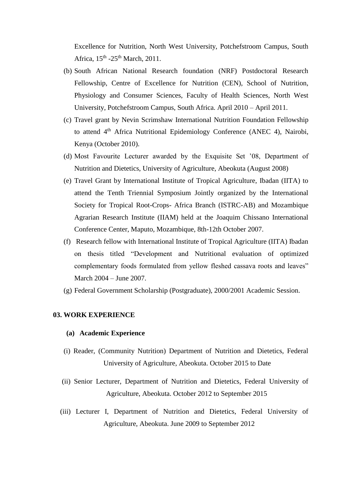Excellence for Nutrition, North West University, Potchefstroom Campus, South Africa, 15<sup>th</sup> -25<sup>th</sup> March, 2011.

- (b) South African National Research foundation (NRF) Postdoctoral Research Fellowship, Centre of Excellence for Nutrition (CEN), School of Nutrition, Physiology and Consumer Sciences, Faculty of Health Sciences, North West University, Potchefstroom Campus, South Africa. April 2010 – April 2011.
- (c) Travel grant by Nevin Scrimshaw International Nutrition Foundation Fellowship to attend 4<sup>th</sup> Africa Nutritional Epidemiology Conference (ANEC 4), Nairobi, Kenya (October 2010).
- (d) Most Favourite Lecturer awarded by the Exquisite Set '08, Department of Nutrition and Dietetics, University of Agriculture, Abeokuta (August 2008)
- (e) Travel Grant by International Institute of Tropical Agriculture, Ibadan (IITA) to attend the Tenth Triennial Symposium Jointly organized by the International Society for Tropical Root-Crops- Africa Branch (ISTRC-AB) and Mozambique Agrarian Research Institute (IIAM) held at the Joaquim Chissano International Conference Center, Maputo, Mozambique, 8th-12th October 2007.
- (f) Research fellow with International Institute of Tropical Agriculture (IITA) Ibadan on thesis titled "Development and Nutritional evaluation of optimized complementary foods formulated from yellow fleshed cassava roots and leaves" March 2004 – June 2007.
- (g) Federal Government Scholarship (Postgraduate), 2000/2001 Academic Session.

#### **03. WORK EXPERIENCE**

#### **(a) Academic Experience**

- (i) Reader, (Community Nutrition) Department of Nutrition and Dietetics, Federal University of Agriculture, Abeokuta. October 2015 to Date
- (ii) Senior Lecturer, Department of Nutrition and Dietetics, Federal University of Agriculture, Abeokuta. October 2012 to September 2015
- (iii) Lecturer I, Department of Nutrition and Dietetics, Federal University of Agriculture, Abeokuta. June 2009 to September 2012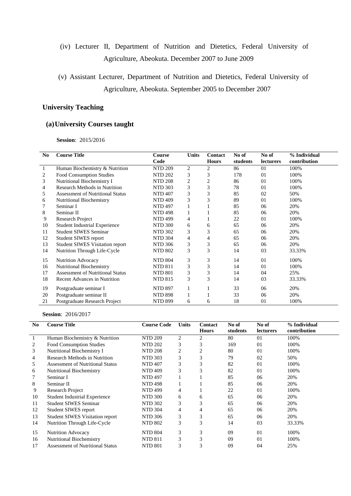- (iv) Lecturer II, Department of Nutrition and Dietetics, Federal University of Agriculture, Abeokuta. December 2007 to June 2009
- (v) Assistant Lecturer, Department of Nutrition and Dietetics, Federal University of Agriculture, Abeokuta. September 2005 to December 2007

### **University Teaching**

### **(a)University Courses taught**

 **Session**: 2015/2016

| N <sub>0</sub> | <b>Course Title</b>                     | Course         | <b>Units</b>   | Contact        | No of    | No of            | % Individual |
|----------------|-----------------------------------------|----------------|----------------|----------------|----------|------------------|--------------|
|                |                                         | Code           |                | <b>Hours</b>   | students | <b>lecturers</b> | contribution |
| 1              | Human Biochemistry & Nutrition          | NTD 209        | 2              | 2              | 86       | 01               | 100%         |
| 2              | Food Consumption Studies                | <b>NTD 202</b> | 3              | 3              | 178      | 0 <sub>1</sub>   | 100%         |
| 3              | Nutritional Biochemistry I              | <b>NTD 208</b> | $\overline{c}$ | $\overline{2}$ | 86       | 01               | 100%         |
| 4              | <b>Research Methods in Nutrition</b>    | <b>NTD 303</b> | 3              | 3              | 78       | 01               | 100%         |
| 5              | <b>Assessment of Nutritional Status</b> | <b>NTD 407</b> | 3              | 3              | 85       | 02               | 50%          |
| 6              | <b>Nutritional Biochemistry</b>         | <b>NTD 409</b> | 3              | 3              | 89       | 01               | 100%         |
|                | Seminar I                               | <b>NTD 497</b> |                |                | 85       | 06               | 20%          |
| 8              | Seminar II                              | <b>NTD 498</b> |                |                | 85       | 06               | 20%          |
| 9              | <b>Research Project</b>                 | <b>NTD 499</b> | 4              |                | 22       | 01               | 100%         |
| 10             | <b>Student Industrial Experience</b>    | <b>NTD 300</b> | 6              | 6              | 65       | 06               | 20%          |
| 11             | <b>Student SIWES Seminar</b>            | <b>NTD 302</b> | 3              | 3              | 65       | 06               | 20%          |
| 12             | Student SIWES report                    | <b>NTD 304</b> | 4              | 4              | 65       | 06               | 20%          |
| 13             | <b>Student SIWES Visitation report</b>  | <b>NTD 306</b> | 3              | 3              | 65       | 06               | 20%          |
| 14             | Nutrition Through Life-Cycle            | <b>NTD 802</b> | 3              | 3              | 14       | 03               | 33.33%       |
| 15             | <b>Nutrition Advocacy</b>               | <b>NTD 804</b> | 3              | 3              | 14       | 01               | 100%         |
| 16             | Nutritional Biochemistry                | <b>NTD 811</b> | 3              | 3              | 14       | 01               | 100%         |
| 17             | <b>Assessment of Nutritional Status</b> | <b>NTD 801</b> | 3              | 3              | 14       | 04               | 25%          |
| 18             | <b>Recent Advances in Nutrition</b>     | <b>NTD 815</b> | 3              | 3              | 14       | 03               | 33.33%       |
| 19             | Postgraduate seminar I                  | <b>NTD 897</b> |                |                | 33       | 06               | 20%          |
| 20             | Postgraduate seminar II                 | <b>NTD 898</b> |                |                | 33       | 06               | 20%          |
| 21             | Postgraduate Research Project           | <b>NTD 899</b> | 6              | 6              | 18       | 01               | 100%         |

#### **Session**: 2016/2017

| N <sub>0</sub> | <b>Course Title</b>                     | <b>Course Code</b> | Units | Contact<br><b>Hours</b> | No of<br>students | No of<br><b>lecturers</b> | % Individual<br>contribution |
|----------------|-----------------------------------------|--------------------|-------|-------------------------|-------------------|---------------------------|------------------------------|
| 1              | Human Biochemistry & Nutrition          | <b>NTD 209</b>     | 2     | 2                       | 80                | 01                        | 100%                         |
| 2              | <b>Food Consumption Studies</b>         | <b>NTD 202</b>     | 3     | 3                       | 169               | 0 <sub>1</sub>            | 100%                         |
| 3              | Nutritional Biochemistry I              | <b>NTD 208</b>     | 2     | $\overline{2}$          | 80                | 01                        | 100%                         |
| 4              | Research Methods in Nutrition           | <b>NTD 303</b>     | 3     | 3                       | 79                | 02                        | 50%                          |
| 5              | <b>Assessment of Nutritional Status</b> | <b>NTD 407</b>     | 3     | 3                       | 82                | 01                        | 100%                         |
| 6              | <b>Nutritional Biochemistry</b>         | <b>NTD 409</b>     | 3     | 3                       | 82                | 01                        | 100%                         |
|                | Seminar I                               | <b>NTD 497</b>     |       |                         | 85                | 06                        | 20%                          |
| 8              | Seminar II                              | <b>NTD 498</b>     |       |                         | 85                | 06                        | 20%                          |
| 9              | Research Project                        | <b>NTD 499</b>     | 4     |                         | 22                | 01                        | 100%                         |
| 10             | <b>Student Industrial Experience</b>    | <b>NTD 300</b>     | 6     | 6                       | 65                | 06                        | 20%                          |
| 11             | <b>Student SIWES Seminar</b>            | <b>NTD 302</b>     | 3     | 3                       | 65                | 06                        | 20%                          |
| 12             | Student SIWES report                    | <b>NTD 304</b>     | 4     | 4                       | 65                | 06                        | 20%                          |
| 13             | <b>Student SIWES Visitation report</b>  | <b>NTD 306</b>     | 3     | 3                       | 65                | 06                        | 20%                          |
| 14             | Nutrition Through Life-Cycle            | <b>NTD 802</b>     | 3     | 3                       | 14                | 03                        | 33.33%                       |
| 15             | <b>Nutrition Advocacy</b>               | <b>NTD 804</b>     | 3     | 3                       | 09                | 01                        | 100%                         |
| 16             | <b>Nutritional Biochemistry</b>         | <b>NTD 811</b>     | 3     | 3                       | 09                | 01                        | 100%                         |
| 17             | <b>Assessment of Nutritional Status</b> | <b>NTD 801</b>     | 3     | 3                       | 09                | 04                        | 25%                          |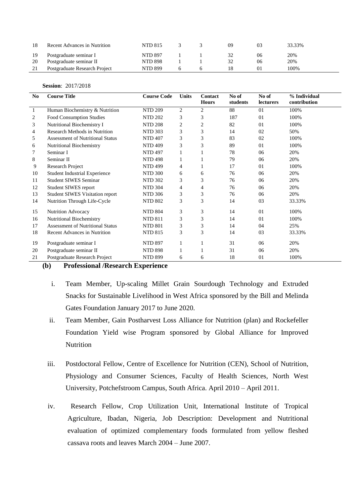|     | Recent Advances in Nutrition  | NTD 815        |  | 09 |    | 33.33% |
|-----|-------------------------------|----------------|--|----|----|--------|
| -19 | Postgraduate seminar I        | <b>NTD 897</b> |  |    | U6 | 20%    |
| 20  | Postgraduate seminar II       | NTD 898        |  |    | 06 | 20%    |
| 21  | Postgraduate Research Project | <b>NTD 899</b> |  |    |    | 100%   |

#### **Session**: 2017/2018

| No.          | <b>Course Title</b>                                                              | <b>Course Code</b> | <b>Units</b> | Contact<br><b>Hours</b> | No of<br>students | No of<br>lecturers | % Individual<br>contribution |  |
|--------------|----------------------------------------------------------------------------------|--------------------|--------------|-------------------------|-------------------|--------------------|------------------------------|--|
| $\mathbf{1}$ | Human Biochemistry & Nutrition                                                   | <b>NTD 209</b>     | 2            | $\overline{2}$          | 88                | 01                 | 100%                         |  |
| 2            | Food Consumption Studies                                                         | <b>NTD 202</b>     | 3            | 3                       | 187               | 01                 | 100%                         |  |
|              |                                                                                  |                    |              |                         |                   | 01                 | 100%                         |  |
| 3            | Nutritional Biochemistry I                                                       | <b>NTD 208</b>     | 2            | 2                       | 82                |                    |                              |  |
| 4            | <b>Research Methods in Nutrition</b>                                             | <b>NTD 303</b>     | 3            | 3                       | 14                | 02                 | 50%                          |  |
| 5            | <b>Assessment of Nutritional Status</b>                                          | <b>NTD 407</b>     | 3            | 3                       | 83                | 02                 | 100%                         |  |
| 6            | Nutritional Biochemistry                                                         | <b>NTD 409</b>     | 3            | 3                       | 89                | 01                 | 100%                         |  |
|              | Seminar I                                                                        | <b>NTD 497</b>     | 1            |                         | 78                | 06                 | 20%                          |  |
| 8            | Seminar II                                                                       | <b>NTD 498</b>     | 1            |                         | 79                | 06                 | 20%                          |  |
| 9            | <b>Research Project</b>                                                          | <b>NTD 499</b>     | 4            |                         | 17                | 01                 | 100%                         |  |
| 10           | <b>Student Industrial Experience</b>                                             | <b>NTD 300</b>     | 6            | 6                       | 76                | 06                 | 20%                          |  |
| 11           | <b>Student SIWES Seminar</b>                                                     | <b>NTD 302</b>     | 3            | 3                       | 76                | 06                 | 20%                          |  |
| 12           | Student SIWES report                                                             | <b>NTD 304</b>     | 4            | 4                       | 76                | 06                 | 20%                          |  |
| 13           | Student SIWES Visitation report                                                  | <b>NTD 306</b>     | 3            | 3                       | 76                | 06                 | 20%                          |  |
| 14           | Nutrition Through Life-Cycle                                                     | <b>NTD 802</b>     | 3            | 3                       | 14                | 03                 | 33.33%                       |  |
| 15           | Nutrition Advocacy                                                               | <b>NTD 804</b>     | 3            | 3                       | 14                | 01                 | 100%                         |  |
| 16           | Nutritional Biochemistry                                                         | <b>NTD 811</b>     | 3            | 3                       | 14                | 01                 | 100%                         |  |
| 17           | <b>Assessment of Nutritional Status</b>                                          | <b>NTD 801</b>     | 3            | 3                       | 14                | 04                 | 25%                          |  |
| 18           | <b>Recent Advances in Nutrition</b>                                              | <b>NTD 815</b>     | 3            | 3                       | 14                | 03                 | 33.33%                       |  |
| 19           | Postgraduate seminar I                                                           | <b>NTD 897</b>     | 1            |                         | 31                | 06                 | 20%                          |  |
| 20           | Postgraduate seminar II                                                          | <b>NTD 898</b>     | 1            |                         | 31                | 06                 | 20%                          |  |
| 21           | Postgraduate Research Project                                                    | <b>NTD 899</b>     | 6            | 6                       | 18                | 01                 | 100%                         |  |
|              | $\bullet$<br>(1)<br>$\mathbf{n} \cdot \mathbf{e} \cdot \mathbf{e}$ . In<br>1. ID |                    |              |                         |                   |                    |                              |  |

#### **(b) Professional /Research Experience**

- i. Team Member, Up-scaling Millet Grain Sourdough Technology and Extruded Snacks for Sustainable Livelihood in West Africa sponsored by the Bill and Melinda Gates Foundation January 2017 to June 2020.
- ii. Team Member, Gain Postharvest Loss Alliance for Nutrition (plan) and Rockefeller Foundation Yield wise Program sponsored by Global Alliance for Improved Nutrition
- iii. Postdoctoral Fellow, Centre of Excellence for Nutrition (CEN), School of Nutrition, Physiology and Consumer Sciences, Faculty of Health Sciences, North West University, Potchefstroom Campus, South Africa. April 2010 – April 2011.
- iv. Research Fellow, Crop Utilization Unit, International Institute of Tropical Agriculture, Ibadan, Nigeria, Job Description: Development and Nutritional evaluation of optimized complementary foods formulated from yellow fleshed cassava roots and leaves March 2004 – June 2007.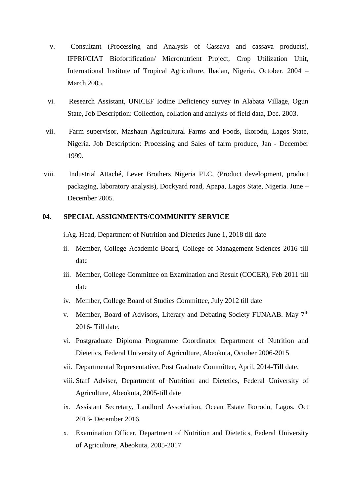- v. Consultant (Processing and Analysis of Cassava and cassava products), IFPRI/CIAT Biofortification/ Micronutrient Project, Crop Utilization Unit, International Institute of Tropical Agriculture, Ibadan, Nigeria, October. 2004 – March 2005.
- vi. Research Assistant, UNICEF Iodine Deficiency survey in Alabata Village, Ogun State, Job Description: Collection, collation and analysis of field data, Dec. 2003.
- vii. Farm supervisor, Mashaun Agricultural Farms and Foods, Ikorodu, Lagos State, Nigeria. Job Description: Processing and Sales of farm produce, Jan - December 1999.
- viii. Industrial Attaché, Lever Brothers Nigeria PLC, (Product development, product packaging, laboratory analysis), Dockyard road, Apapa, Lagos State, Nigeria. June – December 2005.

#### **04. SPECIAL ASSIGNMENTS/COMMUNITY SERVICE**

i.Ag. Head, Department of Nutrition and Dietetics June 1, 2018 till date

- ii. Member, College Academic Board, College of Management Sciences 2016 till date
- iii. Member, College Committee on Examination and Result (COCER), Feb 2011 till date
- iv. Member, College Board of Studies Committee, July 2012 till date
- v. Member, Board of Advisors, Literary and Debating Society FUNAAB. May 7<sup>th</sup> 2016- Till date.
- vi. Postgraduate Diploma Programme Coordinator Department of Nutrition and Dietetics, Federal University of Agriculture, Abeokuta, October 2006-2015
- vii. Departmental Representative, Post Graduate Committee, April, 2014-Till date.
- viii. Staff Adviser, Department of Nutrition and Dietetics, Federal University of Agriculture, Abeokuta, 2005-till date
- ix. Assistant Secretary, Landlord Association, Ocean Estate Ikorodu, Lagos. Oct 2013- December 2016.
- x. Examination Officer, Department of Nutrition and Dietetics, Federal University of Agriculture, Abeokuta, 2005-2017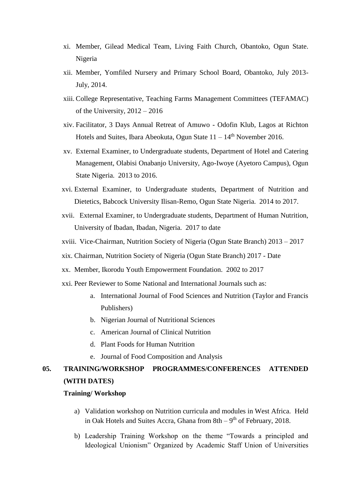- xi. Member, Gilead Medical Team, Living Faith Church, Obantoko, Ogun State. Nigeria
- xii. Member, Yomfiled Nursery and Primary School Board, Obantoko, July 2013- July, 2014.
- xiii. College Representative, Teaching Farms Management Committees (TEFAMAC) of the University, 2012 – 2016
- xiv. Facilitator, 3 Days Annual Retreat of Amuwo Odofin Klub, Lagos at Richton Hotels and Suites, Ibara Abeokuta, Ogun State  $11 - 14$ <sup>th</sup> November 2016.
- xv. External Examiner, to Undergraduate students, Department of Hotel and Catering Management, Olabisi Onabanjo University, Ago-Iwoye (Ayetoro Campus), Ogun State Nigeria. 2013 to 2016.
- xvi. External Examiner, to Undergraduate students, Department of Nutrition and Dietetics, Babcock University Ilisan-Remo, Ogun State Nigeria. 2014 to 2017.
- xvii. External Examiner, to Undergraduate students, Department of Human Nutrition, University of Ibadan, Ibadan, Nigeria. 2017 to date
- xviii. Vice-Chairman, Nutrition Society of Nigeria (Ogun State Branch) 2013 2017
- xix. Chairman, Nutrition Society of Nigeria (Ogun State Branch) 2017 Date
- xx. Member, Ikorodu Youth Empowerment Foundation. 2002 to 2017
- xxi. Peer Reviewer to Some National and International Journals such as:
	- a. International Journal of Food Sciences and Nutrition (Taylor and Francis Publishers)
	- b. Nigerian Journal of Nutritional Sciences
	- c. American Journal of Clinical Nutrition
	- d. Plant Foods for Human Nutrition
	- e. Journal of Food Composition and Analysis

## **05. TRAINING/WORKSHOP PROGRAMMES/CONFERENCES ATTENDED (WITH DATES)**

#### **Training/ Workshop**

- a) Validation workshop on Nutrition curricula and modules in West Africa. Held in Oak Hotels and Suites Accra, Ghana from  $8th - 9<sup>th</sup>$  of February, 2018.
- b) Leadership Training Workshop on the theme "Towards a principled and Ideological Unionism" Organized by Academic Staff Union of Universities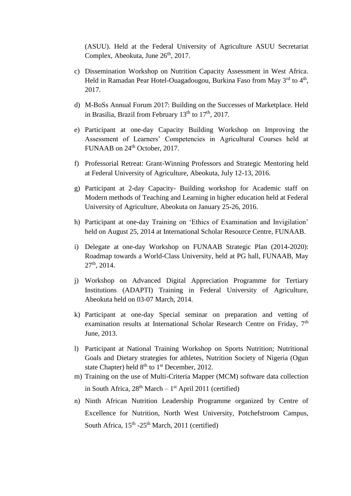(ASUU). Held at the Federal University of Agriculture ASUU Secretariat Complex, Abeokuta, June 26<sup>th</sup>, 2017.

- c) Dissemination Workshop on Nutrition Capacity Assessment in West Africa. Held in Ramadan Pear Hotel-Ouagadougou, Burkina Faso from May 3<sup>rd</sup> to 4<sup>th</sup>, 2017.
- d) M-BoSs Annual Forum 2017: Building on the Successes of Marketplace. Held in Brasilia, Brazil from February  $13<sup>th</sup>$  to  $17<sup>th</sup>$ , 2017.
- e) Participant at one-day Capacity Building Workshop on Improving the Assessment of Learners' Competencies in Agricultural Courses held at FUNAAB on 24<sup>th</sup> October, 2017.
- f) Professorial Retreat: Grant-Winning Professors and Strategic Mentoring held at Federal University of Agriculture, Abeokuta, July 12-13, 2016.
- g) Participant at 2-day Capacity- Building workshop for Academic staff on Modern methods of Teaching and Learning in higher education held at Federal University of Agriculture, Abeokuta on January 25-26, 2016.
- h) Participant at one-day Training on 'Ethics of Examination and Invigilation' held on August 25, 2014 at International Scholar Resource Centre, FUNAAB.
- i) Delegate at one-day Workshop on FUNAAB Strategic Plan (2014-2020): Roadmap towards a World-Class University, held at PG hall, FUNAAB, May  $27<sup>th</sup>$ , 2014.
- j) Workshop on Advanced Digital Appreciation Programme for Tertiary Institutions (ADAPTI) Training in Federal University of Agriculture, Abeokuta held on 03-07 March, 2014.
- k) Participant at one-day Special seminar on preparation and vetting of examination results at International Scholar Research Centre on Friday. 7<sup>th</sup> June, 2013.
- l) Participant at National Training Workshop on Sports Nutrition; Nutritional Goals and Dietary strategies for athletes, Nutrition Society of Nigeria (Ogun state Chapter) held  $8<sup>th</sup>$  to  $1<sup>st</sup>$  December, 2012.
- m) Training on the use of Multi-Criteria Mapper (MCM) software data collection in South Africa, 28<sup>th</sup> March – 1<sup>st</sup> April 2011 (certified)
- n) Ninth African Nutrition Leadership Programme organized by Centre of Excellence for Nutrition, North West University, Potchefstroom Campus, South Africa,  $15<sup>th</sup> - 25<sup>th</sup>$  March, 2011 (certified)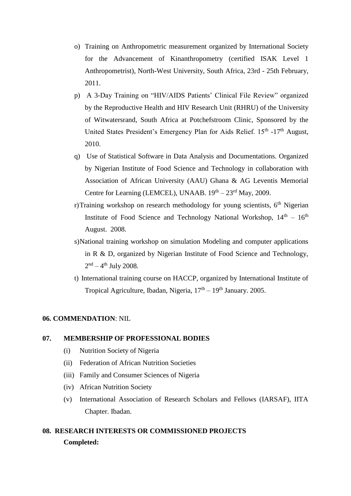- o) Training on Anthropometric measurement organized by International Society for the Advancement of Kinanthropometry (certified ISAK Level 1 Anthropometrist), North-West University, South Africa, 23rd - 25th February, 2011.
- p) A 3-Day Training on "HIV/AIDS Patients' Clinical File Review" organized by the Reproductive Health and HIV Research Unit (RHRU) of the University of Witwatersrand, South Africa at Potchefstroom Clinic, Sponsored by the United States President's Emergency Plan for Aids Relief. 15<sup>th</sup> -17<sup>th</sup> August, 2010.
- q) Use of Statistical Software in Data Analysis and Documentations. Organized by Nigerian Institute of Food Science and Technology in collaboration with Association of African University (AAU) Ghana & AG Leventis Memorial Centre for Learning (LEMCEL), UNAAB.  $19<sup>th</sup> - 23<sup>rd</sup>$  May, 2009.
- r)Training workshop on research methodology for young scientists,  $6<sup>th</sup>$  Nigerian Institute of Food Science and Technology National Workshop,  $14<sup>th</sup> - 16<sup>th</sup>$ August. 2008.
- s)National training workshop on simulation Modeling and computer applications in R & D, organized by Nigerian Institute of Food Science and Technology,  $2<sup>nd</sup> – 4<sup>th</sup> July 2008.$
- t) International training course on HACCP, organized by International Institute of Tropical Agriculture, Ibadan, Nigeria,  $17<sup>th</sup> - 19<sup>th</sup>$  January. 2005.

### **06. COMMENDATION**: NIL

#### **07. MEMBERSHIP OF PROFESSIONAL BODIES**

- (i) Nutrition Society of Nigeria
- (ii) Federation of African Nutrition Societies
- (iii) Family and Consumer Sciences of Nigeria
- (iv) African Nutrition Society
- (v) International Association of Research Scholars and Fellows (IARSAF), IITA Chapter. Ibadan.

## **08. RESEARCH INTERESTS OR COMMISSIONED PROJECTS Completed:**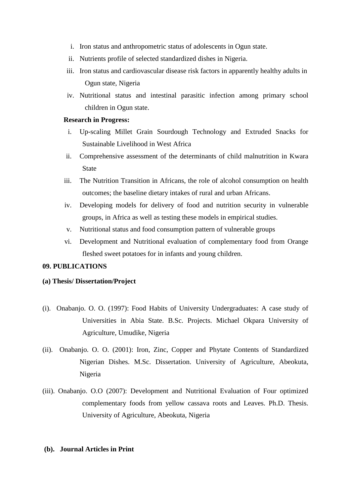- i. Iron status and anthropometric status of adolescents in Ogun state.
- ii. Nutrients profile of selected standardized dishes in Nigeria.
- iii. Iron status and cardiovascular disease risk factors in apparently healthy adults in Ogun state, Nigeria
- iv. Nutritional status and intestinal parasitic infection among primary school children in Ogun state.

#### **Research in Progress:**

- i. Up-scaling Millet Grain Sourdough Technology and Extruded Snacks for Sustainable Livelihood in West Africa
- ii. Comprehensive assessment of the determinants of child malnutrition in Kwara State
- iii. The Nutrition Transition in Africans, the role of alcohol consumption on health outcomes; the baseline dietary intakes of rural and urban Africans.
- iv. Developing models for delivery of food and nutrition security in vulnerable groups, in Africa as well as testing these models in empirical studies.
- v. Nutritional status and food consumption pattern of vulnerable groups
- vi. Development and Nutritional evaluation of complementary food from Orange fleshed sweet potatoes for in infants and young children.

#### **09. PUBLICATIONS**

#### **(a) Thesis/ Dissertation/Project**

- (i).Onabanjo. O. O. (1997): Food Habits of University Undergraduates: A case study of Universities in Abia State. B.Sc. Projects. Michael Okpara University of Agriculture, Umudike, Nigeria
- (ii). Onabanjo. O. O. (2001): Iron, Zinc, Copper and Phytate Contents of Standardized Nigerian Dishes. M.Sc. Dissertation. University of Agriculture, Abeokuta, Nigeria
- (iii). Onabanjo. O.O (2007): Development and Nutritional Evaluation of Four optimized complementary foods from yellow cassava roots and Leaves. Ph.D. Thesis. University of Agriculture, Abeokuta, Nigeria

#### **(b). Journal Articles in Print**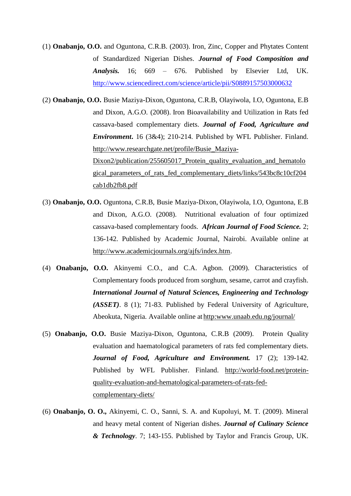- (1) **Onabanjo, O.O.** and Oguntona, C.R.B. (2003). Iron, Zinc, Copper and Phytates Content of Standardized Nigerian Dishes. *Journal of Food Composition and Analysis.* 16; 669 – 676. Published by Elsevier Ltd, UK. http://www.sciencedirect.com/science/article/pii/S0889157503000632
- (2) **Onabanjo, O.O.** Busie Maziya-Dixon, Oguntona, C.R.B, Olayiwola, I.O, Oguntona, E.B and Dixon, A.G.O*.* (2008). Iron Bioavailability and Utilization in Rats fed cassava-based complementary diets. *Journal of Food, Agriculture and Environment***.** 16 (3&4); 210-214. Published by WFL Publisher. Finland. http://www.researchgate.net/profile/Busie\_Maziya-Dixon2/publication/255605017\_Protein\_quality\_evaluation\_and\_hematolo gical parameters of rats fed complementary diets/links/543bc8c10cf204 cab1db2fb8.pdf
- (3) **Onabanjo, O.O.** Oguntona, C.R.B, Busie Maziya-Dixon, Olayiwola, I.O, Oguntona, E.B and Dixon, A.G.O*.* (2008). Nutritional evaluation of four optimized cassava-based complementary foods.*African Journal of Food Science.* 2; 136-142. Published by Academic Journal, Nairobi. Available online at http://www.academicjournals.org/ajfs/index.htm.
- (4) **Onabanjo, O.O.** Akinyemi C.O., and C.A. Agbon. (2009). Characteristics of Complementary foods produced from sorghum, sesame, carrot and crayfish. *International Journal of Natural Sciences, Engineering and Technology (ASSET)*. 8 (1); 71-83. Published by Federal University of Agriculture, Abeokuta, Nigeria. Available online at http:www.unaab.edu.ng/journal/
- (5) **Onabanjo, O.O.** Busie Maziya-Dixon, Oguntona, C.R.B (2009). Protein Quality evaluation and haematological parameters of rats fed complementary diets. *Journal of Food, Agriculture and Environment.* 17 (2); 139-142. Published by WFL Publisher. Finland. http://world-food.net/proteinquality-evaluation-and-hematological-parameters-of-rats-fedcomplementary-diets/
- (6) **Onabanjo, O. O.,** Akinyemi, C. O., Sanni, S. A. and Kupoluyi, M. T. (2009). Mineral and heavy metal content of Nigerian dishes. *Journal of Culinary Science & Technology*. 7; 143-155. Published by Taylor and Francis Group, UK.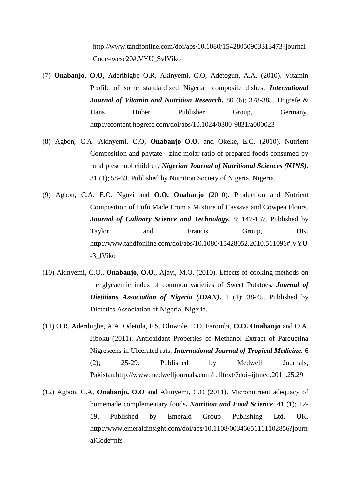http://www.tandfonline.com/doi/abs/10.1080/15428050903313473?journal Code=wcsc20#.VYU\_SvlViko

- (7) **Onabanjo, O.O**, Aderibigbe O.R, Akinyemi, C.O, Adetogun. A.A. (2010). Vitamin Profile of some standardized Nigerian composite dishes. *International Journal of Vitamin and Nutrition Research.* 80 (6); 378-385. Hogrefe & Hans Huber Publisher Group, Germany. http://econtent.hogrefe.com/doi/abs/10.1024/0300-9831/a000023
- (8) Agbon, C.A. Akinyemi, C.O, **Onabanjo O.O**. and Okeke, E.C. (2010). Nutrient Composition and phytate - zinc molar ratio of prepared foods consumed by rural preschool children, *Nigerian Journal of Nutritional Sciences (NJNS).* 31 (1); 58-63. Published by Nutrition Society of Nigeria, Nigeria.
- (9) Agbon, C.A, E.O. Ngozi and **O.O. Onabanjo** (2010). Production and Nutrient Composition of Fufu Made From a Mixture of Cassava and Cowpea Flours. *Journal of Culinary Science and Technology.* 8; 147-157. Published by Taylor and Francis Group, UK. http://www.tandfonline.com/doi/abs/10.1080/15428052.2010.511096#.VYU -3\_lViko
- (10) Akinyemi, C.O., **Onabanjo, O.O**., Ajayi, M.O. (2010). Effects of cooking methods on the glycaemic index of common varieties of Sweet Potatoes*. Journal of Dietitians Association of Nigeria (JDAN)***.** 1 (1); 38-45. Published by Dietetics Association of Nigeria, Nigeria.
- (11) O.R. Aderibigbe, A.A. Odetola, F.S. Oluwole, E.O. Farombi, **O.O. Onabanjo** and O.A. Jiboku (2011). Antioxidant Properties of Methanol Extract of Parquetina Nigrescens in Ulcerated rats. *International Journal of Tropical Medicine.* 6 (2); 25-29. Published by Medwell Journals, Pakistan.http://www.medwelljournals.com/fulltext/?doi=ijtmed.2011.25.29
- (12) Agbon, C.A, **Onabanjo, O.O** and Akinyemi, C.O (2011). Micronutrient adequacy of homemade complementary foods*. Nutrition and Food Science*. 41 (1); 12- 19. Published by Emerald Group Publishing Ltd. UK. http://www.emeraldinsight.com/doi/abs/10.1108/00346651111102856?journ alCode=nfs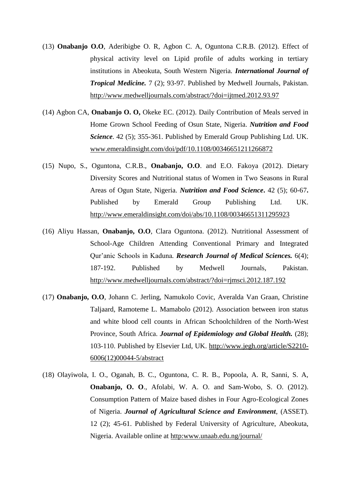- (13) **Onabanjo O.O**, Aderibigbe O. R, Agbon C. A, Oguntona C.R.B. (2012). Effect of physical activity level on Lipid profile of adults working in tertiary institutions in Abeokuta, South Western Nigeria. *International Journal of Tropical Medicine.* 7 (2); 93-97. Published by Medwell Journals, Pakistan. http://www.medwelljournals.com/abstract/?doi=ijtmed.2012.93.97
- (14) Agbon CA, **Onabanjo O. O,** Okeke EC. (2012). Daily Contribution of Meals served in Home Grown School Feeding of Osun State, Nigeria. *Nutrition and Food Science*. 42 (5); 355-361. Published by Emerald Group Publishing Ltd. UK. www.emeraldinsight.com/doi/pdf/10.1108/00346651211266872
- (15) Nupo, S., Oguntona, C.R.B., **Onabanjo, O.O**. and E.O. Fakoya (2012). Dietary Diversity Scores and Nutritional status of Women in Two Seasons in Rural Areas of Ogun State, Nigeria. *Nutrition and Food Science***.** 42 (5); 60-67**.**  Published by Emerald Group Publishing Ltd. UK. http://www.emeraldinsight.com/doi/abs/10.1108/00346651311295923
- (16) Aliyu Hassan, **Onabanjo, O.O**, Clara Oguntona. (2012). Nutritional Assessment of School-Age Children Attending Conventional Primary and Integrated Qur'anic Schools in Kaduna*. Research Journal of Medical Sciences.* 6(4); 187-192. Published by Medwell Journals, Pakistan. http://www.medwelljournals.com/abstract/?doi=rjmsci.2012.187.192
- (17) **Onabanjo, O.O**, Johann C. Jerling, Namukolo Covic, Averalda Van Graan, Christine Taljaard, Ramoteme L. Mamabolo (2012). Association between iron status and white blood cell counts in African Schoolchildren of the North-West Province, South Africa. *Journal of Epidemiology and Global Health.* (28); 103-110. Published by Elsevier Ltd, UK. http://www.jegh.org/article/S2210- 6006(12)00044-5/abstract
- (18) Olayiwola, I. O., Oganah, B. C., Oguntona, C. R. B., Popoola, A. R, Sanni, S. A, **Onabanjo, O. O**., Afolabi, W. A. O. and Sam-Wobo, S. O. (2012). Consumption Pattern of Maize based dishes in Four Agro-Ecological Zones of Nigeria. *Journal of Agricultural Science and Environment*, (ASSET). 12 (2); 45-61. Published by Federal University of Agriculture, Abeokuta, Nigeria. Available online at http:www.unaab.edu.ng/journal/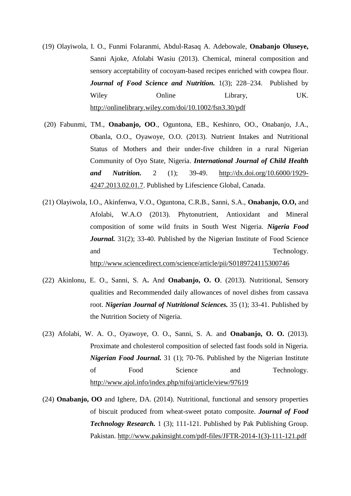- (19) Olayiwola, I. O., Funmi Folaranmi, Abdul-Rasaq A. Adebowale, **Onabanjo Oluseye,** Sanni Ajoke, Afolabi Wasiu (2013). Chemical, mineral composition and sensory acceptability of cocoyam-based recipes enriched with cowpea flour. *Journal of Food Science and Nutrition.* 1(3); 228–234. Published by Wiley Online Library, UK. http://onlinelibrary.wiley.com/doi/10.1002/fsn3.30/pdf
- (20) Fabunmi, TM., **Onabanjo, OO**., Oguntona, EB., Keshinro, OO., Onabanjo, J.A., Obanla, O.O., Oyawoye, O.O. (2013). Nutrient Intakes and Nutritional Status of Mothers and their under-five children in a rural Nigerian Community of Oyo State, Nigeria. *International Journal of Child Health and Nutrition.* 2 (1); 39-49. http://dx.doi.org/10.6000/1929- 4247.2013.02.01.7. Published by Lifescience Global, Canada.
- (21) Olayiwola, I.O., Akinfenwa, V.O., Oguntona, C.R.B., Sanni, S.A., **Onabanjo, O.O,** and Afolabi, W.A.O (2013). Phytonutrient, Antioxidant and Mineral composition of some wild fruits in South West Nigeria. *Nigeria Food Journal.* 31(2); 33-40. Published by the Nigerian Institute of Food Science and Technology. http://www.sciencedirect.com/science/article/pii/S0189724115300746
- (22) Akinlonu, E. O., Sanni, S. A**.** And **Onabanjo, O. O**. (2013). Nutritional, Sensory qualities and Recommended daily allowances of novel dishes from cassava root. *Nigerian Journal of Nutritional Sciences.* 35 (1); 33-41. Published by the Nutrition Society of Nigeria.
- (23) Afolabi, W. A. O., Oyawoye, O. O., Sanni, S. A. and **Onabanjo, O. O.** (2013). Proximate and cholesterol composition of selected fast foods sold in Nigeria. *Nigerian Food Journal.* 31 (1); 70-76. Published by the Nigerian Institute of Food Science and Technology. http://www.ajol.info/index.php/nifoj/article/view/97619
- (24) **Onabanjo, OO** and Ighere, DA. (2014). Nutritional, functional and sensory properties of biscuit produced from wheat-sweet potato composite. *Journal of Food Technology Research.* 1 (3); 111-121. Published by Pak Publishing Group. Pakistan. http://www.pakinsight.com/pdf-files/JFTR-2014-1(3)-111-121.pdf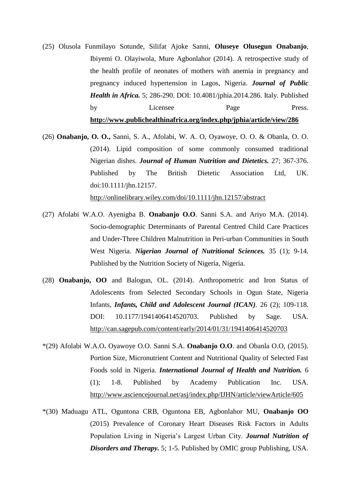- (25) Olusola Funmilayo Sotunde, Silifat Ajoke Sanni, **Oluseye Olusegun Onabanjo**, Ibiyemi O. Olayiwola, Mure Agbonlahor (2014). A retrospective study of the health profile of neonates of mothers with anemia in pregnancy and pregnancy induced hypertension in Lagos, Nigeria. *Journal of Public Health in Africa.* 5; 286-290. DOI: 10.4081/jphia.2014.286. Italy. Published by Licensee Page Press. **http://www.publichealthinafrica.org/index.php/jphia/article/view/286**
- (26) **Onabanjo, O. O.,** Sanni, S. A., Afolabi, W. A. O, Oyawoye, O. O. & Obanla, O. O. (2014). Lipid composition of some commonly consumed traditional Nigerian dishes. *Journal of Human Nutrition and Dietetics.* 27; 367-376. Published by The British Dietetic Association Ltd, UK. doi:10.1111/jhn.12157. http://onlinelibrary.wiley.com/doi/10.1111/jhn.12157/abstract
- (27) Afolabi W.A.O. Ayenigba B. **Onabanjo O.O**. Sanni S.A. and Ariyo M.A. (2014). Socio-demographic Determinants of Parental Centred Child Care Practices and Under-Three Children Malnutrition in Peri-urban Communities in South West Nigeria. *Nigerian Journal of Nutritional Sciences.* 35 (1); 9-14. Published by the Nutrition Society of Nigeria, Nigeria.
- (28) **Onabanjo, OO** and Balogun, OL. (2014). Anthropometric and Iron Status of Adolescents from Selected Secondary Schools in Ogun State, Nigeria Infants, *Infants, Child and Adolescent Journal (ICAN).* 26 (2); 109-118. DOI: 10.1177/1941406414520703. Published by Sage. USA. http://can.sagepub.com/content/early/2014/01/31/1941406414520703
- \*(29) Afolabi W.A.O**.** Oyawoye O.O. Sanni S.A. **Onabanjo O.O**. and Obanla O.O, (2015). Portion Size, Micronutrient Content and Nutritional Quality of Selected Fast Foods sold in Nigeria. *International Journal of Health and Nutrition.* 6 (1); 1-8. Published by Academy Publication Inc. USA. http://www.asciencejournal.net/asj/index.php/IJHN/article/viewArticle/605
- \*(30) Maduagu ATL, Oguntona CRB, Oguntona EB, Agbonlahor MU, **Onabanjo OO** (2015) Prevalence of Coronary Heart Diseases Risk Factors in Adults Population Living in Nigeria's Largest Urban City. *Journal Nutrition of Disorders and Therapy.* 5; 1-5. Published by OMIC group Publishing, USA.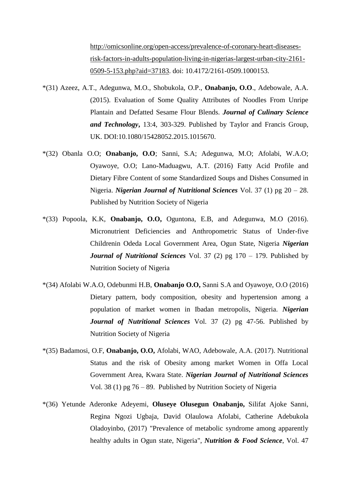http://omicsonline.org/open-access/prevalence-of-coronary-heart-diseasesrisk-factors-in-adults-population-living-in-nigerias-largest-urban-city-2161- 0509-5-153.php?aid=37183. doi: 10.4172/2161-0509.1000153.

- \*(31) Azeez, A.T., Adegunwa, M.O., Shobukola, O.P., **Onabanjo, O.O**., Adebowale, A.A. (2015). Evaluation of Some Quality Attributes of Noodles From Unripe Plantain and Defatted Sesame Flour Blends. *Journal of Culinary Science and Technology***,** 13:4, 303-329. Published by Taylor and Francis Group, UK. DOI:10.1080/15428052.2015.1015670.
- \*(32) Obanla O.O; **Onabanjo, O.O**; Sanni, S.A; Adegunwa, M.O; Afolabi, W.A.O; Oyawoye, O.O; Lano-Maduagwu, A.T. (2016) Fatty Acid Profile and Dietary Fibre Content of some Standardized Soups and Dishes Consumed in Nigeria. *Nigerian Journal of Nutritional Sciences* Vol. 37 (1) pg 20 – 28. Published by Nutrition Society of Nigeria
- \*(33) Popoola, K.K, **Onabanjo, O.O,** Oguntona, E.B, and Adegunwa, M.O (2016). Micronutrient Deficiencies and Anthropometric Status of Under-five Childrenin Odeda Local Government Area, Ogun State, Nigeria *Nigerian Journal of Nutritional Sciences* Vol. 37 (2) pg 170 – 179. Published by Nutrition Society of Nigeria
- \*(34) Afolabi W.A.O, Odebunmi H.B, **Onabanjo O.O,** Sanni S.A and Oyawoye, O.O (2016) Dietary pattern, body composition, obesity and hypertension among a population of market women in Ibadan metropolis, Nigeria. *Nigerian Journal of Nutritional Sciences* Vol. 37 (2) pg 47-56. Published by Nutrition Society of Nigeria
- \*(35) Badamosi, O.F, **Onabanjo, O.O,** Afolabi, WAO, Adebowale, A.A. (2017). Nutritional Status and the risk of Obesity among market Women in Offa Local Government Area, Kwara State. *Nigerian Journal of Nutritional Sciences* Vol. 38 (1) pg 76 – 89. Published by Nutrition Society of Nigeria
- \*(36) Yetunde Aderonke Adeyemi, **Oluseye Olusegun Onabanjo,** Silifat Ajoke Sanni, Regina Ngozi Ugbaja, David Olaulowa Afolabi, Catherine Adebukola Oladoyinbo, (2017) "Prevalence of metabolic syndrome among apparently healthy adults in Ogun state, Nigeria", *Nutrition & Food Science*, Vol. 47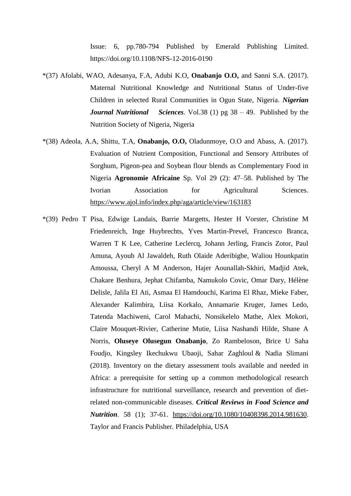Issue: 6, pp.780-794 Published by Emerald Publishing Limited. https://doi.org/10.1108/NFS-12-2016-0190

- \*(37) Afolabi, WAO, Adesanya, F.A, Adubi K.O, **Onabanjo O.O,** and Sanni S.A. (2017). Maternal Nutritional Knowledge and Nutritional Status of Under-five Children in selected Rural Communities in Ogun State, Nigeria. *Nigerian Journal Nutritional Sciences.* Vol.38 (1) pg 38 – 49. Published by the Nutrition Society of Nigeria, Nigeria
- \*(38) Adeola, A.A, Shittu, T.A, **Onabanjo, O.O,** Oladunmoye, O.O and Abass, A. (2017). Evaluation of Nutrient Composition, Functional and Sensory Attributes of Sorghum, Pigeon-pea and Soybean flour blends as Complementary Food in Nigeria **Agronomie Africaine** Sp. Vol 29 (2): 47–58. Published by The Ivorian Association for Agricultural Sciences. https://www.ajol.info/index.php/aga/article/view/163183
- \*(39) Pedro T Pisa, Edwige Landais, Barrie Margetts, Hester H Vorster, Christine M Friedenreich, Inge Huybrechts, Yves Martin-Prevel, Francesco Branca, Warren T K Lee, Catherine Leclercq, Johann Jerling, Francis Zotor, Paul Amuna, Ayoub Al Jawaldeh, Ruth Olaide Aderibigbe, Waliou Hounkpatin Amoussa, Cheryl A M Anderson, Hajer Aounallah-Skhiri, Madjid Atek, Chakare Benhura, Jephat Chifamba, Namukolo Covic, Omar Dary, Hélène Delisle, Jalila El Ati, Asmaa El Hamdouchi, Karima El Rhaz, Mieke Faber, Alexander Kalimbira, Liisa Korkalo, Annamarie Kruger, James Ledo, Tatenda Machiweni, Carol Mahachi, Nonsikelelo Mathe, Alex Mokori, Claire Mouquet-Rivier, Catherine Mutie, Liisa Nashandi Hilde, Shane A Norris, **Oluseye Olusegun Onabanjo**, Zo Rambeloson, Brice U Saha Foudjo, Kingsley Ikechukwu Ubaoji, Sahar Zaghloul & Nadia Slimani (2018). Inventory on the dietary assessment tools available and needed in Africa: a prerequisite for setting up a common methodological research infrastructure for nutritional surveillance, research and prevention of dietrelated non-communicable diseases. *Critical Reviews in Food Science and Nutrition*. 58 (1); 37-61. https://doi.org/10.1080/10408398.2014.981630. Taylor and Francis Publisher. Philadelphia, USA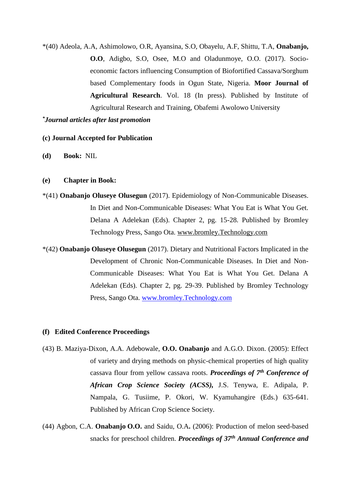\*(40) Adeola, A.A, Ashimolowo, O.R, Ayansina, S.O, Obayelu, A.F, Shittu, T.A, **Onabanjo, O.O**, Adigbo, S.O, Osee, M.O and Oladunmoye, O.O. (2017). Socioeconomic factors influencing Consumption of Biofortified Cassava/Sorghum based Complementary foods in Ogun State, Nigeria. **Moor Journal of Agricultural Research**. Vol. 18 (In press). Published by Institute of Agricultural Research and Training, Obafemi Awolowo University

#### *\*Journal articles after last promotion*

#### **(c) Journal Accepted for Publication**

**(d) Book:** NIL

#### **(e) Chapter in Book:**

- \*(41) **Onabanjo Oluseye Olusegun** (2017). Epidemiology of Non-Communicable Diseases. In Diet and Non-Communicable Diseases: What You Eat is What You Get. Delana A Adelekan (Eds). Chapter 2, pg. 15-28. Published by Bromley Technology Press, Sango Ota. www.bromley.Technology.com
- \*(42) **Onabanjo Oluseye Olusegun** (2017). Dietary and Nutritional Factors Implicated in the Development of Chronic Non-Communicable Diseases. In Diet and Non-Communicable Diseases: What You Eat is What You Get. Delana A Adelekan (Eds). Chapter 2, pg. 29-39. Published by Bromley Technology Press, Sango Ota. www.bromley.Technology.com

#### **(f) Edited Conference Proceedings**

- (43) B. Maziya-Dixon, A.A. Adebowale, **O.O. Onabanjo** and A.G.O. Dixon. (2005): Effect of variety and drying methods on physic-chemical properties of high quality cassava flour from yellow cassava roots. *Proceedings of 7th Conference of African Crop Science Society (ACSS),* J.S. Tenywa, E. Adipala, P. Nampala, G. Tusiime, P. Okori, W. Kyamuhangire (Eds.) 635-641. Published by African Crop Science Society.
- (44) Agbon, C.A. **Onabanjo O.O.** and Saidu, O.A**.** (2006): Production of melon seed-based snacks for preschool children. *Proceedings of 37th Annual Conference and*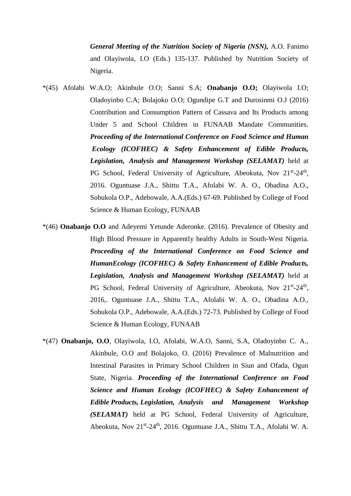*General Meeting of the Nutrition Society of Nigeria (NSN),* A.O. Fanimo and Olayiwola, I.O (Eds.) 135-137. Published by Nutrition Society of Nigeria.

- \*(45) Afolabi W.A.O; Akinbule O.O; Sanni S.A; **Onabanjo O.O;** Olayiwola I.O; Oladoyinbo C.A; Bolajoko O.O; Ogundipe G.T and Durosinmi O.J (2016) Contribution and Consumption Pattern of Cassava and Its Products among Under 5 and School Children in FUNAAB Mandate Communities. *Proceeding of the International Conference on Food Science and Human Ecology (ICOFHEC) & Safety Enhancement of Edible Products, Legislation, Analysis and Management Workshop (SELAMAT)* held at PG School, Federal University of Agriculture, Abeokuta, Nov 21<sup>st</sup>-24<sup>th</sup>, 2016. Oguntuase J.A., Shittu T.A., Afolabi W. A. O., Obadina A.O., Sobukola O.P., Adebowale, A.A.(Eds.) 67-69. Published by College of Food Science & Human Ecology, FUNAAB
- \*(46) **Onabanjo O.O** and Adeyemi Yetunde Aderonke. (2016). Prevalence of Obesity and High Blood Pressure in Apparently healthy Adults in South-West Nigeria. *Proceeding of the International Conference on Food Science and HumanEcology (ICOFHEC) & Safety Enhancement of Edible Products, Legislation, Analysis and Management Workshop (SELAMAT)* held at PG School, Federal University of Agriculture, Abeokuta, Nov 21<sup>st</sup>-24<sup>th</sup>, 2016,. Oguntuase J.A., Shittu T.A., Afolabi W. A. O., Obadina A.O., Sobukola O.P., Adebowale, A.A.(Eds.) 72-73. Published by College of Food Science & Human Ecology, FUNAAB
- \*(47) **Onabanjo, O.O**, Olayiwola, I.O, Afolabi, W.A.O, Sanni, S.A, Oladoyinbo C. A., Akinbule, O.O and Bolajoko, O. (2016) Prevalence of Malnutrition and Intestinal Parasites in Primary School Children in Siun and Ofada, Ogun State, Nigeria. *Proceeding of the International Conference on Food Science and Human Ecology (ICOFHEC) & Safety Enhancement of Edible Products, Legislation, Analysis and Management Workshop (SELAMAT)* held at PG School, Federal University of Agriculture, Abeokuta, Nov 21<sup>st</sup>-24<sup>th</sup>, 2016. Oguntuase J.A., Shittu T.A., Afolabi W. A.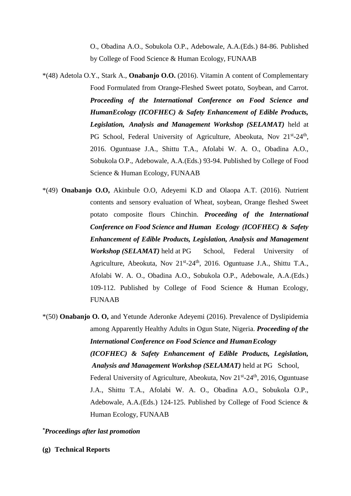O., Obadina A.O., Sobukola O.P., Adebowale, A.A.(Eds.) 84-86. Published by College of Food Science & Human Ecology, FUNAAB

- \*(48) Adetola O.Y., Stark A., **Onabanjo O.O.** (2016). Vitamin A content of Complementary Food Formulated from Orange-Fleshed Sweet potato, Soybean, and Carrot. *Proceeding of the International Conference on Food Science and HumanEcology (ICOFHEC) & Safety Enhancement of Edible Products, Legislation, Analysis and Management Workshop (SELAMAT)* held at PG School, Federal University of Agriculture, Abeokuta, Nov 21<sup>st</sup>-24<sup>th</sup>, 2016. Oguntuase J.A., Shittu T.A., Afolabi W. A. O., Obadina A.O., Sobukola O.P., Adebowale, A.A.(Eds.) 93-94. Published by College of Food Science & Human Ecology, FUNAAB
- \*(49) **Onabanjo O.O,** Akinbule O.O, Adeyemi K.D and Olaopa A.T. (2016). Nutrient contents and sensory evaluation of Wheat, soybean, Orange fleshed Sweet potato composite flours Chinchin. *Proceeding of the International Conference on Food Science and Human Ecology (ICOFHEC) & Safety Enhancement of Edible Products, Legislation, Analysis and Management Workshop (SELAMAT)* held at PG School, Federal University of Agriculture, Abeokuta, Nov 21<sup>st</sup>-24<sup>th</sup>, 2016. Oguntuase J.A., Shittu T.A., Afolabi W. A. O., Obadina A.O., Sobukola O.P., Adebowale, A.A.(Eds.) 109-112. Published by College of Food Science & Human Ecology, FUNAAB
- \*(50) **Onabanjo O. O,** and Yetunde Aderonke Adeyemi (2016). Prevalence of Dyslipidemia among Apparently Healthy Adults in Ogun State, Nigeria. *Proceeding of the International Conference on Food Science and HumanEcology (ICOFHEC) & Safety Enhancement of Edible Products, Legislation, Analysis and Management Workshop (SELAMAT)* held at PG School, Federal University of Agriculture, Abeokuta, Nov 21<sup>st</sup>-24<sup>th</sup>, 2016, Oguntuase J.A., Shittu T.A., Afolabi W. A. O., Obadina A.O., Sobukola O.P., Adebowale, A.A.(Eds.) 124-125. Published by College of Food Science & Human Ecology, FUNAAB

*\*Proceedings after last promotion*

**(g) Technical Reports**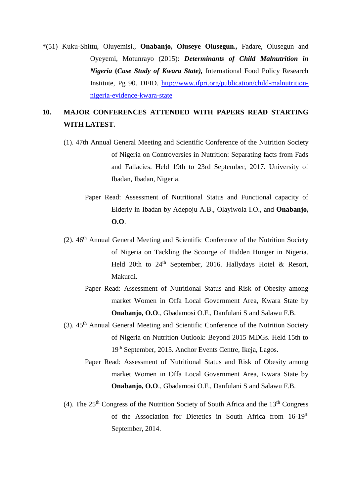\*(51) Kuku-Shittu, Oluyemisi., **Onabanjo, Oluseye Olusegun.,** Fadare, Olusegun and Oyeyemi, Motunrayo (2015): *Determinants of Child Malnutrition in Nigeria* **(***Case Study of Kwara State),* International Food Policy Research Institute, Pg 90. DFID. http://www.ifpri.org/publication/child-malnutritionnigeria-evidence-kwara-state

## **10. MAJOR CONFERENCES ATTENDED WITH PAPERS READ STARTING WITH LATEST.**

- (1). 47th Annual General Meeting and Scientific Conference of the Nutrition Society of Nigeria on Controversies in Nutrition: Separating facts from Fads and Fallacies. Held 19th to 23rd September, 2017. University of Ibadan, Ibadan, Nigeria.
	- Paper Read: Assessment of Nutritional Status and Functional capacity of Elderly in Ibadan by Adepoju A.B., Olayiwola I.O., and **Onabanjo, O.O**.
- $(2)$ .  $46<sup>th</sup>$  Annual General Meeting and Scientific Conference of the Nutrition Society of Nigeria on Tackling the Scourge of Hidden Hunger in Nigeria. Held 20th to  $24<sup>th</sup>$  September, 2016. Hallydays Hotel & Resort, Makurdi.
	- Paper Read: Assessment of Nutritional Status and Risk of Obesity among market Women in Offa Local Government Area, Kwara State by **Onabanjo, O.O**., Gbadamosi O.F., Danfulani S and Salawu F.B.
- $(3)$ .  $45<sup>th</sup>$  Annual General Meeting and Scientific Conference of the Nutrition Society of Nigeria on Nutrition Outlook: Beyond 2015 MDGs. Held 15th to 19th September, 2015. Anchor Events Centre, Ikeja, Lagos.
	- Paper Read: Assessment of Nutritional Status and Risk of Obesity among market Women in Offa Local Government Area, Kwara State by **Onabanjo, O.O**., Gbadamosi O.F., Danfulani S and Salawu F.B.
- (4). The  $25<sup>th</sup>$  Congress of the Nutrition Society of South Africa and the  $13<sup>th</sup>$  Congress of the Association for Dietetics in South Africa from 16-19<sup>th</sup> September, 2014.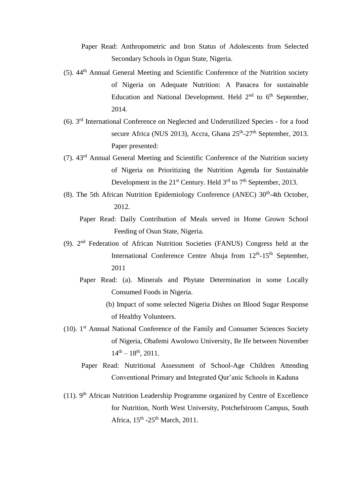- Paper Read: Anthropometric and Iron Status of Adolescents from Selected Secondary Schools in Ogun State, Nigeria.
- (5). 44th Annual General Meeting and Scientific Conference of the Nutrition society of Nigeria on Adequate Nutrition: A Panacea for sustainable Education and National Development. Held  $2<sup>nd</sup>$  to  $6<sup>th</sup>$  September, 2014.
- (6). 3rd International Conference on Neglected and Underutilized Species for a food secure Africa (NUS 2013), Accra, Ghana 25<sup>th</sup>-27<sup>th</sup> September, 2013. Paper presented:
- (7). 43rd Annual General Meeting and Scientific Conference of the Nutrition society of Nigeria on Prioritizing the Nutrition Agenda for Sustainable Development in the  $21^{st}$  Century. Held  $3^{rd}$  to  $7^{th}$  September, 2013.
- (8). The 5th African Nutrition Epidemiology Conference (ANEC)  $30<sup>th</sup>$ -4th October, 2012.
	- Paper Read: Daily Contribution of Meals served in Home Grown School Feeding of Osun State, Nigeria.
- (9). 2nd Federation of African Nutrition Societies (FANUS) Congress held at the International Conference Centre Abuja from 12<sup>th</sup>-15<sup>th</sup> September, 2011
	- Paper Read: (a). Minerals and Phytate Determination in some Locally Consumed Foods in Nigeria.
		- (b) Impact of some selected Nigeria Dishes on Blood Sugar Response of Healthy Volunteers.
- (10). 1st Annual National Conference of the Family and Consumer Sciences Society of Nigeria, Obafemi Awolowo University, Ile Ife between November  $14<sup>th</sup> - 18<sup>th</sup>$ , 2011.
	- Paper Read: Nutritional Assessment of School-Age Children Attending Conventional Primary and Integrated Qur'anic Schools in Kaduna
- (11). 9<sup>th</sup> African Nutrition Leadership Programme organized by Centre of Excellence for Nutrition, North West University, Potchefstroom Campus, South Africa,  $15<sup>th</sup> - 25<sup>th</sup>$  March, 2011.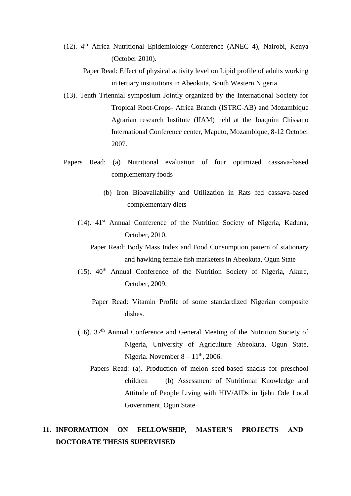(12). 4th Africa Nutritional Epidemiology Conference (ANEC 4), Nairobi, Kenya (October 2010).

 Paper Read: Effect of physical activity level on Lipid profile of adults working in tertiary institutions in Abeokuta, South Western Nigeria.

- (13). Tenth Triennial symposium Jointly organized by the International Society for Tropical Root-Crops- Africa Branch (ISTRC-AB) and Mozambique Agrarian research Institute (IIAM) held at the Joaquim Chissano International Conference center, Maputo, Mozambique, 8-12 October 2007.
- Papers Read: (a) Nutritional evaluation of four optimized cassava-based complementary foods
	- (b) Iron Bioavailability and Utilization in Rats fed cassava-based complementary diets
	- (14). 41st Annual Conference of the Nutrition Society of Nigeria, Kaduna, October, 2010.
		- Paper Read: Body Mass Index and Food Consumption pattern of stationary and hawking female fish marketers in Abeokuta, Ogun State
	- (15).  $40<sup>th</sup>$  Annual Conference of the Nutrition Society of Nigeria, Akure, October, 2009.
		- Paper Read: Vitamin Profile of some standardized Nigerian composite dishes.
	- (16). 37th Annual Conference and General Meeting of the Nutrition Society of Nigeria, University of Agriculture Abeokuta, Ogun State, Nigeria. November  $8 - 11<sup>th</sup>$ , 2006.
		- Papers Read: (a). Production of melon seed-based snacks for preschool children (b) Assessment of Nutritional Knowledge and Attitude of People Living with HIV/AIDs in Ijebu Ode Local Government, Ogun State

## **11. INFORMATION ON FELLOWSHIP, MASTER'S PROJECTS AND DOCTORATE THESIS SUPERVISED**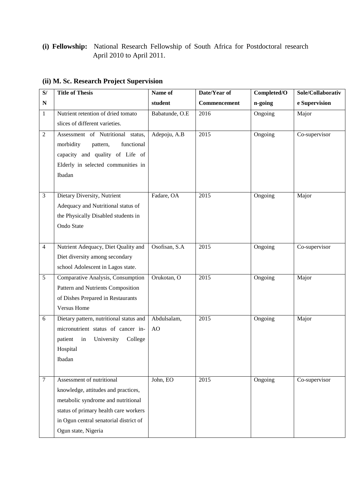### **(i) Fellowship:** National Research Fellowship of South Africa for Postdoctoral research April 2010 to April 2011.

| S/           | <b>Title of Thesis</b>                  | Name of        | Date/Year of | Completed/O | Sole/Collaborativ |
|--------------|-----------------------------------------|----------------|--------------|-------------|-------------------|
| N            |                                         | student        | Commencement | n-going     | e Supervision     |
| $\mathbf{1}$ | Nutrient retention of dried tomato      | Babatunde, O.E | 2016         | Ongoing     | Major             |
|              | slices of different varieties.          |                |              |             |                   |
| $\sqrt{2}$   | Assessment of Nutritional status,       | Adepoju, A.B   | 2015         | Ongoing     | Co-supervisor     |
|              | morbidity<br>functional<br>pattern,     |                |              |             |                   |
|              | capacity and quality of Life of         |                |              |             |                   |
|              | Elderly in selected communities in      |                |              |             |                   |
|              | Ibadan                                  |                |              |             |                   |
|              |                                         |                |              |             |                   |
| 3            | Dietary Diversity, Nutrient             | Fadare, OA     | 2015         | Ongoing     | Major             |
|              | Adequacy and Nutritional status of      |                |              |             |                   |
|              | the Physically Disabled students in     |                |              |             |                   |
|              | Ondo State                              |                |              |             |                   |
|              |                                         |                |              |             |                   |
| 4            | Nutrient Adequacy, Diet Quality and     | Osofisan, S.A  | 2015         | Ongoing     | Co-supervisor     |
|              | Diet diversity among secondary          |                |              |             |                   |
|              | school Adolescent in Lagos state.       |                |              |             |                   |
| 5            | Comparative Analysis, Consumption       | Orukotan, O    | 2015         | Ongoing     | Major             |
|              | Pattern and Nutrients Composition       |                |              |             |                   |
|              | of Dishes Prepared in Restaurants       |                |              |             |                   |
|              | <b>Versus Home</b>                      |                |              |             |                   |
| 6            | Dietary pattern, nutritional status and | Abdulsalam,    | 2015         | Ongoing     | Major             |
|              | micronutrient status of cancer in-      | AO             |              |             |                   |
|              | patient<br>in<br>University<br>College  |                |              |             |                   |
|              | Hospital                                |                |              |             |                   |
|              | Ibadan                                  |                |              |             |                   |
|              |                                         |                |              |             |                   |
| 7            | Assessment of nutritional               | John, EO       | 2015         | Ongoing     | Co-supervisor     |
|              | knowledge, attitudes and practices,     |                |              |             |                   |
|              | metabolic syndrome and nutritional      |                |              |             |                   |
|              | status of primary health care workers   |                |              |             |                   |
|              | in Ogun central senatorial district of  |                |              |             |                   |
|              | Ogun state, Nigeria                     |                |              |             |                   |

## **(ii) M. Sc. Research Project Supervision**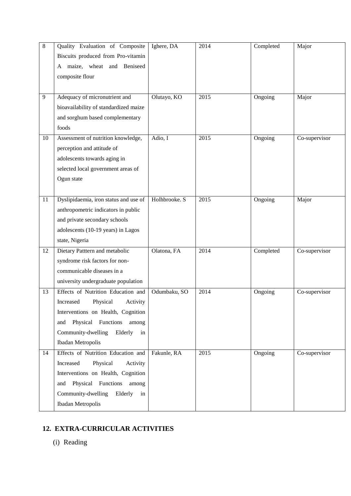| 8  | Quality Evaluation of Composite                                             | Ighere, DA    | 2014 | Completed | Major         |
|----|-----------------------------------------------------------------------------|---------------|------|-----------|---------------|
|    | Biscuits produced from Pro-vitamin<br>maize, wheat and Beniseed<br>A        |               |      |           |               |
|    | composite flour                                                             |               |      |           |               |
|    |                                                                             |               |      |           |               |
| 9  | Adequacy of micronutrient and                                               | Olutayo, KO   | 2015 | Ongoing   | Major         |
|    | bioavailability of standardized maize                                       |               |      |           |               |
|    | and sorghum based complementary                                             |               |      |           |               |
|    | foods                                                                       |               |      |           |               |
| 10 | Assessment of nutrition knowledge,                                          | Adio, I       | 2015 | Ongoing   | Co-supervisor |
|    | perception and attitude of                                                  |               |      |           |               |
|    | adolescents towards aging in                                                |               |      |           |               |
|    | selected local government areas of<br>Ogun state                            |               |      |           |               |
|    |                                                                             |               |      |           |               |
| 11 | Dyslipidaemia, iron status and use of                                       | Holhbrooke. S | 2015 | Ongoing   | Major         |
|    | anthropometric indicators in public                                         |               |      |           |               |
|    | and private secondary schools                                               |               |      |           |               |
|    | adolescents (10-19 years) in Lagos                                          |               |      |           |               |
|    | state, Nigeria                                                              |               |      |           |               |
| 12 | Dietary Patttern and metabolic                                              | Olatona, FA   | 2014 | Completed | Co-supervisor |
|    | syndrome risk factors for non-                                              |               |      |           |               |
|    | communicable diseases in a                                                  |               |      |           |               |
|    | university undergraduate population                                         |               |      |           |               |
| 13 | Effects of Nutrition Education and                                          | Odumbaku, SO  | 2014 | Ongoing   | Co-supervisor |
|    | Physical<br>Increased<br>Activity                                           |               |      |           |               |
|    | Interventions on Health, Cognition<br>Physical<br>Functions<br>among<br>and |               |      |           |               |
|    | Community-dwelling<br>Elderly<br>in                                         |               |      |           |               |
|    | Ibadan Metropolis                                                           |               |      |           |               |
| 14 | Effects of Nutrition Education and                                          | Fakunle, RA   | 2015 | Ongoing   | Co-supervisor |
|    | Increased<br>Physical<br>Activity                                           |               |      |           |               |
|    | Interventions on Health, Cognition                                          |               |      |           |               |
|    | Physical Functions among<br>and                                             |               |      |           |               |
|    | Community-dwelling<br>Elderly<br>in                                         |               |      |           |               |
|    | Ibadan Metropolis                                                           |               |      |           |               |

## **12. EXTRA-CURRICULAR ACTIVITIES**

(i) Reading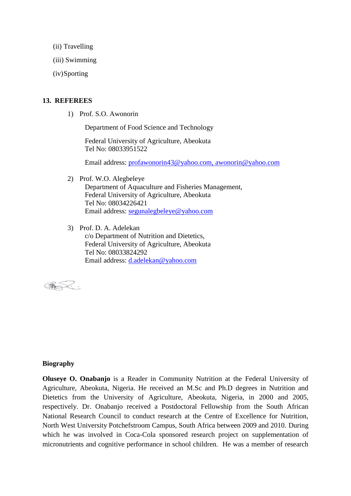- (ii) Travelling
- (iii) Swimming
- (iv)Sporting

#### **13. REFEREES**

1) Prof. S.O. Awonorin

Department of Food Science and Technology

Federal University of Agriculture, Abeokuta Tel No: 08033951522

Email address: profawonorin43@yahoo.com, awonorin@yahoo.com

2) Prof. W.O. Alegbeleye

Department of Aquaculture and Fisheries Management, Federal University of Agriculture, Abeokuta Tel No: 08034226421 Email address: segunalegbeleye@yahoo.com

3) Prof. D. A. Adelekan

c/o Department of Nutrition and Dietetics, Federal University of Agriculture, Abeokuta Tel No: 08033824292 Email address: d.adelekan@yahoo.com

CHANNELLO

#### **Biography**

**Oluseye O. Onabanjo** is a Reader in Community Nutrition at the Federal University of Agriculture, Abeokuta, Nigeria. He received an M.Sc and Ph.D degrees in Nutrition and Dietetics from the University of Agriculture, Abeokuta, Nigeria, in 2000 and 2005, respectively. Dr. Onabanjo received a Postdoctoral Fellowship from the South African National Research Council to conduct research at the Centre of Excellence for Nutrition, North West University Potchefstroom Campus, South Africa between 2009 and 2010. During which he was involved in Coca-Cola sponsored research project on supplementation of micronutrients and cognitive performance in school children. He was a member of research